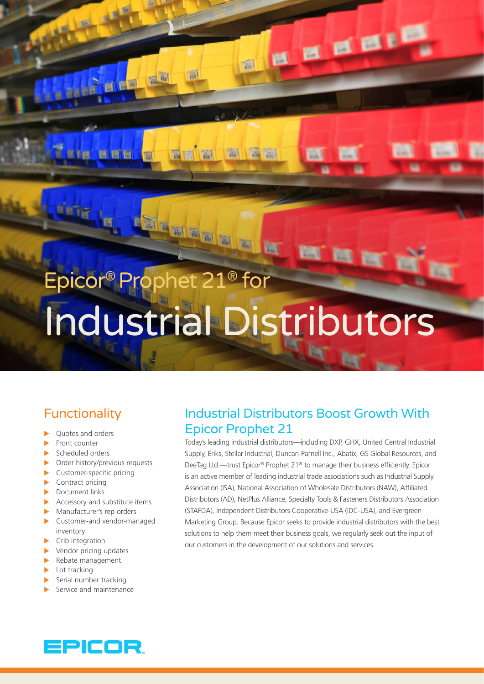# Epicor® Prophet 21® for Industrial Distributors

創

溜

副

HIEE

ETETE

Wh

**ME** 

e en e

# Functionality

- $\blacktriangleright$  Quotes and orders
- $\blacktriangleright$  Front counter
- Scheduled orders
- Order history/previous requests
- $\blacktriangleright$  Customer-specific pricing
- $\blacktriangleright$  Contract pricing
- $\blacktriangleright$  Document links
- Accessory and substitute items
- $\blacktriangleright$  Manufacturer's rep orders
- $\blacktriangleright$  Customer-and vendor-managed inventory
- $\blacktriangleright$  Crib integration
- $\blacktriangleright$  Vendor pricing updates
- Rebate management
- Lot tracking
- $\blacktriangleright$  Serial number tracking
- Service and maintenance

## Industrial Distributors Boost Growth With Epicor Prophet 21

**B B B B I B** 

Today's leading industrial distributors—including DXP, GHX, United Central Industrial Supply, Eriks, Stellar Industrial, Duncan-Parnell Inc., Abatix, GS Global Resources, and DeeTag Ltd.—trust Epicor® Prophet 21® to manage their business efficiently. Epicor is an active member of leading industrial trade associations such as Industrial Supply Association (ISA), National Association of Wholesale Distributors (NAW), Affiliated Distributors (AD), NetPlus Alliance, Specialty Tools & Fasteners Distributors Association (STAFDA), Independent Distributors Cooperative-USA (IDC-USA), and Evergreen Marketing Group. Because Epicor seeks to provide industrial distributors with the best solutions to help them meet their business goals, we regularly seek out the input of our customers in the development of our solutions and services.

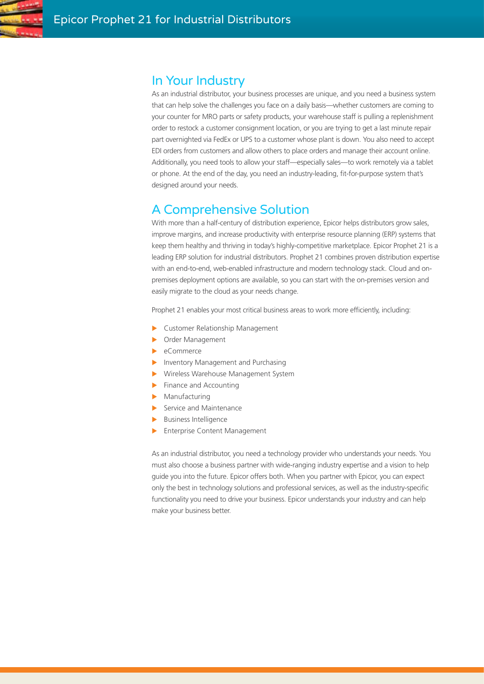

## In Your Industry

As an industrial distributor, your business processes are unique, and you need a business system that can help solve the challenges you face on a daily basis—whether customers are coming to your counter for MRO parts or safety products, your warehouse staff is pulling a replenishment order to restock a customer consignment location, or you are trying to get a last minute repair part overnighted via FedEx or UPS to a customer whose plant is down. You also need to accept EDI orders from customers and allow others to place orders and manage their account online. Additionally, you need tools to allow your staff—especially sales—to work remotely via a tablet or phone. At the end of the day, you need an industry-leading, fit-for-purpose system that's designed around your needs.

# A Comprehensive Solution

With more than a half-century of distribution experience, Epicor helps distributors grow sales, improve margins, and increase productivity with enterprise resource planning (ERP) systems that keep them healthy and thriving in today's highly-competitive marketplace. Epicor Prophet 21 is a leading ERP solution for industrial distributors. Prophet 21 combines proven distribution expertise with an end-to-end, web-enabled infrastructure and modern technology stack. Cloud and onpremises deployment options are available, so you can start with the on-premises version and easily migrate to the cloud as your needs change.

Prophet 21 enables your most critical business areas to work more efficiently, including:

- Customer Relationship Management
- Order Management
- eCommerce
- Inventory Management and Purchasing
- X Wireless Warehouse Management System
- $\blacktriangleright$  Finance and Accounting
- **Manufacturing**
- $\blacktriangleright$  Service and Maintenance
- $\blacktriangleright$  Business Intelligence
- **Enterprise Content Management**

As an industrial distributor, you need a technology provider who understands your needs. You must also choose a business partner with wide-ranging industry expertise and a vision to help guide you into the future. Epicor offers both. When you partner with Epicor, you can expect only the best in technology solutions and professional services, as well as the industry-specific functionality you need to drive your business. Epicor understands your industry and can help make your business better.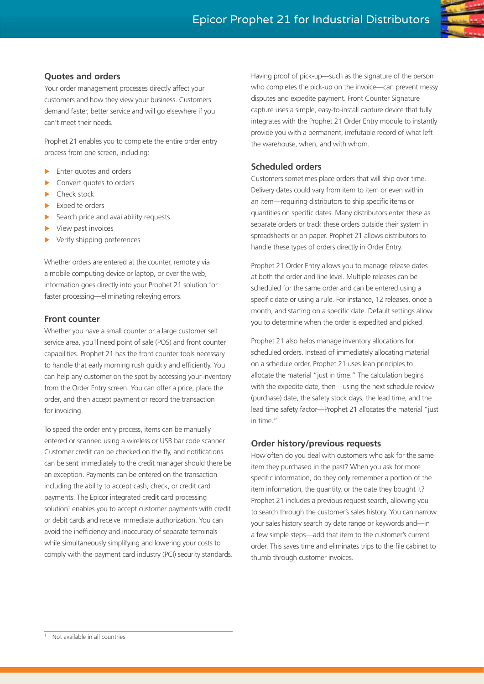

Your order management processes directly affect your customers and how they view your business. Customers demand faster, better service and will go elsewhere if you can't meet their needs.

Prophet 21 enables you to complete the entire order entry process from one screen, including:

- Enter quotes and orders
- Convert quotes to orders
- Check stock
- Expedite orders
- Search price and availability requests
- View past invoices
- Verify shipping preferences

Whether orders are entered at the counter, remotely via a mobile computing device or laptop, or over the web, information goes directly into your Prophet 21 solution for faster processing—eliminating rekeying errors.

#### **Front counter**

Whether you have a small counter or a large customer self service area, you'll need point of sale (POS) and front counter capabilities. Prophet 21 has the front counter tools necessary to handle that early morning rush quickly and efficiently. You can help any customer on the spot by accessing your inventory from the Order Entry screen. You can offer a price, place the order, and then accept payment or record the transaction for invoicing.

To speed the order entry process, items can be manually entered or scanned using a wireless or USB bar code scanner. Customer credit can be checked on the fly, and notifications can be sent immediately to the credit manager should there be an exception. Payments can be entered on the transaction including the ability to accept cash, check, or credit card payments. The Epicor integrated credit card processing solution<sup>1</sup> enables you to accept customer payments with credit or debit cards and receive immediate authorization. You can avoid the inefficiency and inaccuracy of separate terminals while simultaneously simplifying and lowering your costs to comply with the payment card industry (PCI) security standards.

Having proof of pick-up—such as the signature of the person who completes the pick-up on the invoice—can prevent messy disputes and expedite payment. Front Counter Signature capture uses a simple, easy-to-install capture device that fully integrates with the Prophet 21 Order Entry module to instantly provide you with a permanent, irrefutable record of what left the warehouse, when, and with whom.

#### **Scheduled orders**

Customers sometimes place orders that will ship over time. Delivery dates could vary from item to item or even within an item—requiring distributors to ship specific items or quantities on specific dates. Many distributors enter these as separate orders or track these orders outside their system in spreadsheets or on paper. Prophet 21 allows distributors to handle these types of orders directly in Order Entry.

Prophet 21 Order Entry allows you to manage release dates at both the order and line level. Multiple releases can be scheduled for the same order and can be entered using a specific date or using a rule. For instance, 12 releases, once a month, and starting on a specific date. Default settings allow you to determine when the order is expedited and picked.

Prophet 21 also helps manage inventory allocations for scheduled orders. Instead of immediately allocating material on a schedule order, Prophet 21 uses lean principles to allocate the material "just in time." The calculation begins with the expedite date, then—using the next schedule review (purchase) date, the safety stock days, the lead time, and the lead time safety factor—Prophet 21 allocates the material "just in time."

#### **Order history/previous requests**

How often do you deal with customers who ask for the same item they purchased in the past? When you ask for more specific information, do they only remember a portion of the item information, the quantity, or the date they bought it? Prophet 21 includes a previous request search, allowing you to search through the customer's sales history. You can narrow your sales history search by date range or keywords and—in a few simple steps—add that item to the customer's current order. This saves time and eliminates trips to the file cabinet to thumb through customer invoices.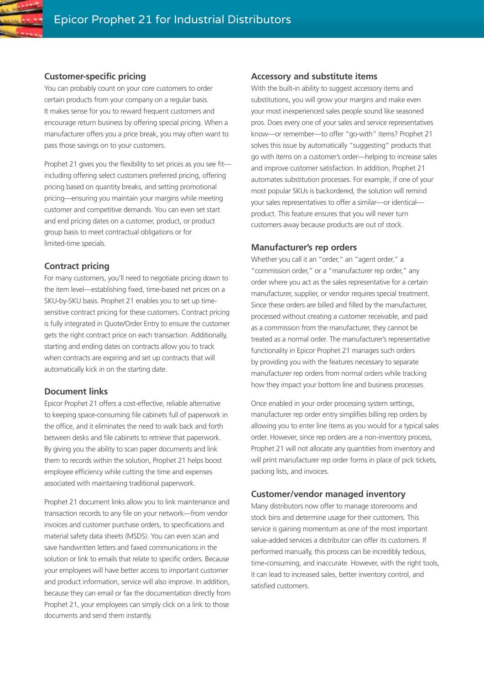#### **Customer-specific pricing**

You can probably count on your core customers to order certain products from your company on a regular basis. It makes sense for you to reward frequent customers and encourage return business by offering special pricing. When a manufacturer offers you a price break, you may often want to pass those savings on to your customers.

Prophet 21 gives you the flexibility to set prices as you see fit including offering select customers preferred pricing, offering pricing based on quantity breaks, and setting promotional pricing—ensuring you maintain your margins while meeting customer and competitive demands. You can even set start and end pricing dates on a customer, product, or product group basis to meet contractual obligations or for limited-time specials.

#### **Contract pricing**

For many customers, you'll need to negotiate pricing down to the item level—establishing fixed, time-based net prices on a SKU-by-SKU basis. Prophet 21 enables you to set up timesensitive contract pricing for these customers. Contract pricing is fully integrated in Quote/Order Entry to ensure the customer gets the right contract price on each transaction. Additionally, starting and ending dates on contracts allow you to track when contracts are expiring and set up contracts that will automatically kick in on the starting date.

#### **Document links**

Epicor Prophet 21 offers a cost-effective, reliable alternative to keeping space-consuming file cabinets full of paperwork in the office, and it eliminates the need to walk back and forth between desks and file cabinets to retrieve that paperwork. By giving you the ability to scan paper documents and link them to records within the solution, Prophet 21 helps boost employee efficiency while cutting the time and expenses associated with maintaining traditional paperwork.

Prophet 21 document links allow you to link maintenance and transaction records to any file on your network—from vendor invoices and customer purchase orders, to specifications and material safety data sheets (MSDS). You can even scan and save handwritten letters and faxed communications in the solution or link to emails that relate to specific orders. Because your employees will have better access to important customer and product information, service will also improve. In addition, because they can email or fax the documentation directly from Prophet 21, your employees can simply click on a link to those documents and send them instantly.

#### **Accessory and substitute items**

With the built-in ability to suggest accessory items and substitutions, you will grow your margins and make even your most inexperienced sales people sound like seasoned pros. Does every one of your sales and service representatives know—or remember—to offer "go-with" items? Prophet 21 solves this issue by automatically "suggesting" products that go with items on a customer's order—helping to increase sales and improve customer satisfaction. In addition, Prophet 21 automates substitution processes. For example, if one of your most popular SKUs is backordered, the solution will remind your sales representatives to offer a similar—or identical product. This feature ensures that you will never turn customers away because products are out of stock.

#### **Manufacturer's rep orders**

Whether you call it an "order," an "agent order," a "commission order," or a "manufacturer rep order," any order where you act as the sales representative for a certain manufacturer, supplier, or vendor requires special treatment. Since these orders are billed and filled by the manufacturer, processed without creating a customer receivable, and paid as a commission from the manufacturer, they cannot be treated as a normal order. The manufacturer's representative functionality in Epicor Prophet 21 manages such orders by providing you with the features necessary to separate manufacturer rep orders from normal orders while tracking how they impact your bottom line and business processes.

Once enabled in your order processing system settings, manufacturer rep order entry simplifies billing rep orders by allowing you to enter line items as you would for a typical sales order. However, since rep orders are a non-inventory process, Prophet 21 will not allocate any quantities from inventory and will print manufacturer rep order forms in place of pick tickets, packing lists, and invoices.

#### **Customer/vendor managed inventory**

Many distributors now offer to manage storerooms and stock bins and determine usage for their customers. This service is gaining momentum as one of the most important value-added services a distributor can offer its customers. If performed manually, this process can be incredibly tedious, time-consuming, and inaccurate. However, with the right tools, it can lead to increased sales, better inventory control, and satisfied customers.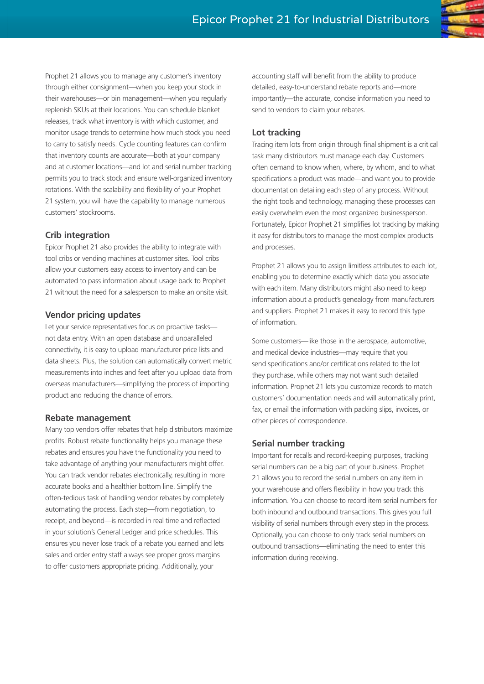Prophet 21 allows you to manage any customer's inventory through either consignment—when you keep your stock in their warehouses—or bin management—when you regularly replenish SKUs at their locations. You can schedule blanket releases, track what inventory is with which customer, and monitor usage trends to determine how much stock you need to carry to satisfy needs. Cycle counting features can confirm that inventory counts are accurate—both at your company and at customer locations—and lot and serial number tracking permits you to track stock and ensure well-organized inventory rotations. With the scalability and flexibility of your Prophet 21 system, you will have the capability to manage numerous customers' stockrooms.

#### **Crib integration**

Epicor Prophet 21 also provides the ability to integrate with tool cribs or vending machines at customer sites. Tool cribs allow your customers easy access to inventory and can be automated to pass information about usage back to Prophet 21 without the need for a salesperson to make an onsite visit.

#### **Vendor pricing updates**

Let your service representatives focus on proactive tasks not data entry. With an open database and unparalleled connectivity, it is easy to upload manufacturer price lists and data sheets. Plus, the solution can automatically convert metric measurements into inches and feet after you upload data from overseas manufacturers—simplifying the process of importing product and reducing the chance of errors.

#### **Rebate management**

Many top vendors offer rebates that help distributors maximize profits. Robust rebate functionality helps you manage these rebates and ensures you have the functionality you need to take advantage of anything your manufacturers might offer. You can track vendor rebates electronically, resulting in more accurate books and a healthier bottom line. Simplify the often-tedious task of handling vendor rebates by completely automating the process. Each step—from negotiation, to receipt, and beyond—is recorded in real time and reflected in your solution's General Ledger and price schedules. This ensures you never lose track of a rebate you earned and lets sales and order entry staff always see proper gross margins to offer customers appropriate pricing. Additionally, your

accounting staff will benefit from the ability to produce detailed, easy-to-understand rebate reports and—more importantly—the accurate, concise information you need to send to vendors to claim your rebates.

#### **Lot tracking**

Tracing item lots from origin through final shipment is a critical task many distributors must manage each day. Customers often demand to know when, where, by whom, and to what specifications a product was made—and want you to provide documentation detailing each step of any process. Without the right tools and technology, managing these processes can easily overwhelm even the most organized businessperson. Fortunately, Epicor Prophet 21 simplifies lot tracking by making it easy for distributors to manage the most complex products and processes.

Prophet 21 allows you to assign limitless attributes to each lot, enabling you to determine exactly which data you associate with each item. Many distributors might also need to keep information about a product's genealogy from manufacturers and suppliers. Prophet 21 makes it easy to record this type of information.

Some customers—like those in the aerospace, automotive, and medical device industries—may require that you send specifications and/or certifications related to the lot they purchase, while others may not want such detailed information. Prophet 21 lets you customize records to match customers' documentation needs and will automatically print, fax, or email the information with packing slips, invoices, or other pieces of correspondence.

#### **Serial number tracking**

Important for recalls and record-keeping purposes, tracking serial numbers can be a big part of your business. Prophet 21 allows you to record the serial numbers on any item in your warehouse and offers flexibility in how you track this information. You can choose to record item serial numbers for both inbound and outbound transactions. This gives you full visibility of serial numbers through every step in the process. Optionally, you can choose to only track serial numbers on outbound transactions—eliminating the need to enter this information during receiving.